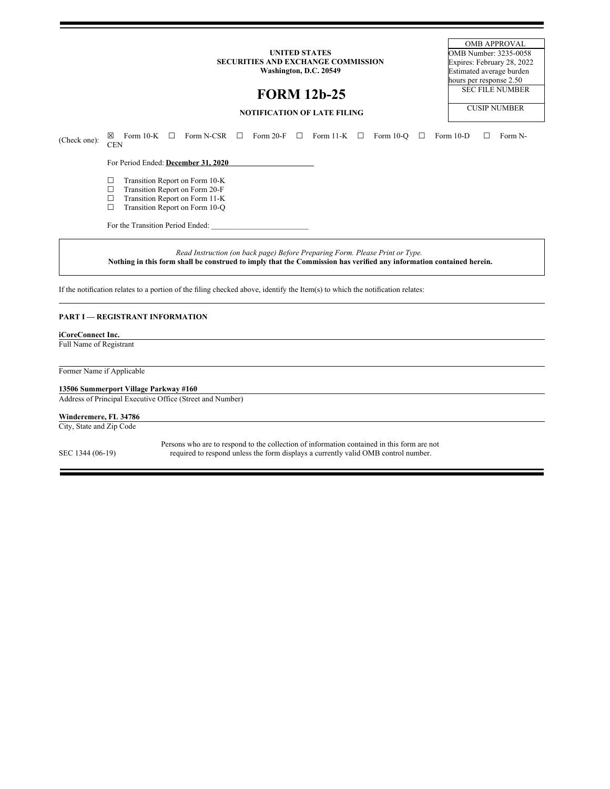#### **UNITED STATES SECURITIES AND EXCHANGE COMMISSION Washington, D.C. 20549**

**FORM 12b-25**

OMB APPROVAL OMB Number: 3235-0058 Expires: February 28, 2022 Estimated average burden hours per response 2.50 SEC FILE NUMBER CUSIP NUMBER

# **NOTIFICATION OF LATE FILING**

(Check one):  $\boxtimes$  Form 10-K  $\Box$  Form N-CSR  $\Box$  Form 20-F  $\Box$  Form 11-K  $\Box$  Form 10-Q  $\Box$  Form 10-D  $\Box$  Form N-CEN For Period Ended: **December 31, 2020**  $\Box$  Transition Report on Form 10-K<br> $\Box$  Transition Report on Form 20-F  $\Box$  Transition Report on Form 20-F<br> $\Box$  Transition Report on Form 11-K  $\Box$  Transition Report on Form 11-K<br> $\Box$  Transition Report on Form 10-Q Transition Report on Form 10-Q For the Transition Period Ended:

*Read Instruction (on back page) Before Preparing Form. Please Print or Type.* Nothing in this form shall be construed to imply that the Commission has verified any information contained herein.

If the notification relates to a portion of the filing checked above, identify the Item(s) to which the notification relates:

# **PART I — REGISTRANT INFORMATION**

### **iCoreConnect Inc.**

Full Name of Registrant

Former Name if Applicable

# **13506 Summerport Village Parkway #160**

Address of Principal Executive Office (Street and Number)

#### **Winderemere, FL 34786**

City, State and Zip Code

SEC 1344 (06-19)

Persons who are to respond to the collection of information contained in this form are not required to respond unless the form displays a currently valid OMB control number.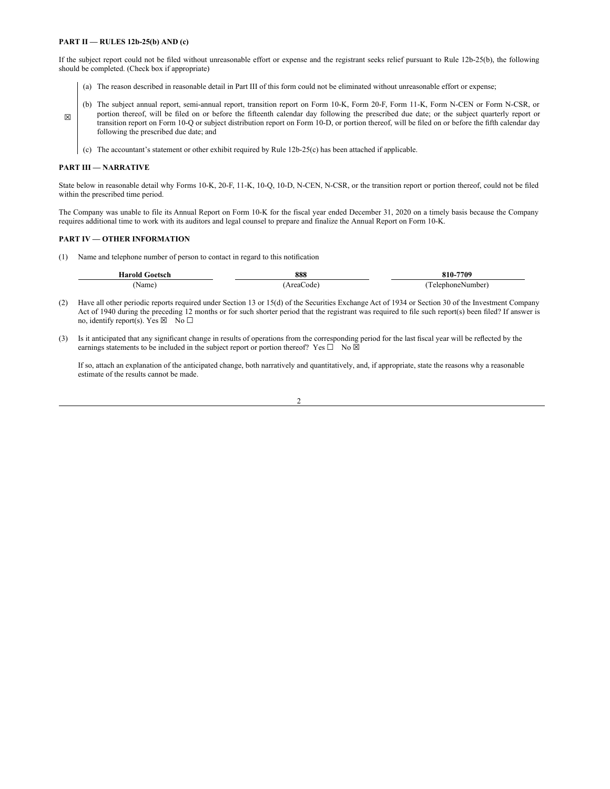### **PART II — RULES 12b-25(b) AND (c)**

If the subject report could not be filed without unreasonable effort or expense and the registrant seeks relief pursuant to Rule 12b-25(b), the following should be completed. (Check box if appropriate)

- (a) The reason described in reasonable detail in Part III of this form could not be eliminated without unreasonable effort or expense;
- (b) The subject annual report, semi-annual report, transition report on Form 10-K, Form 20-F, Form 11-K, Form N-CEN or Form N-CSR, or portion thereof, will be filed on or before the fifteenth calendar day following the prescribed due date; or the subject quarterly report or transition report on Form 10-Q or subject distribution report on Form 10-D, or portion thereof, will be filed on or before the fifth calendar day following the prescribed due date; and
	- (c) The accountant's statement or other exhibit required by Rule 12b-25(c) has been attached if applicable.

#### **PART III — NARRATIVE**

☒

State below in reasonable detail why Forms 10-K, 20-F, 11-K, 10-Q, 10-D, N-CEN, N-CSR, or the transition report or portion thereof, could not be filed within the prescribed time period.

The Company was unable to file its Annual Report on Form 10-K for the fiscal year ended December 31, 2020 on a timely basis because the Company requires additional time to work with its auditors and legal counsel to prepare and finalize the Annual Report on Form 10-K.

### **PART IV — OTHER INFORMATION**

(1) Name and telephone number of person to contact in regard to this notification

| -laroid<br>Goetsch | 888           | 810-7709        |
|--------------------|---------------|-----------------|
| Name               | Areat<br>code | TelephoneNumber |

- (2) Have all other periodic reports required under Section 13 or 15(d) of the Securities Exchange Act of 1934 or Section 30 of the Investment Company Act of 1940 during the preceding 12 months or for such shorter period that the registrant was required to file such report(s) been filed? If answer is no, identify report(s). Yes  $\boxtimes$  No  $\Box$
- (3) Is it anticipated that any significant change in results of operations from the corresponding period for the last fiscal year will be reflected by the earnings statements to be included in the subject report or portion thereof? Yes  $\Box$  No  $\overline{\boxtimes}$

If so, attach an explanation of the anticipated change, both narratively and quantitatively, and, if appropriate, state the reasons why a reasonable estimate of the results cannot be made.

 $\overline{2}$